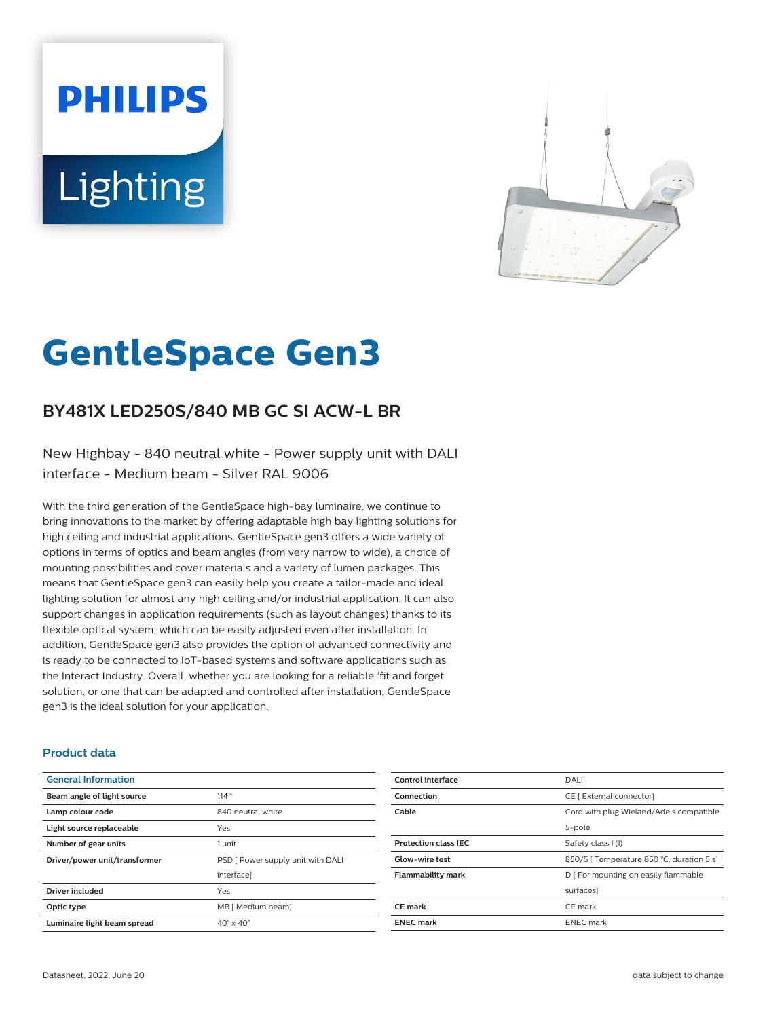# **PHILIPS** Lighting



# **GentleSpace Gen3**

# **BY481X LED250S/840 MB GC SI ACW-L BR**

New Highbay - 840 neutral white - Power supply unit with DALI interface - Medium beam - Silver RAL 9006

With the third generation of the GentleSpace high-bay luminaire, we continue to bring innovations to the market by offering adaptable high bay lighting solutions for high ceiling and industrial applications. GentleSpace gen3 offers a wide variety of options in terms of optics and beam angles (from very narrow to wide), a choice of mounting possibilities and cover materials and a variety of lumen packages. This means that GentleSpace gen3 can easily help you create a tailor-made and ideal lighting solution for almost any high ceiling and/or industrial application. It can also support changes in application requirements (such as layout changes) thanks to its flexible optical system, which can be easily adjusted even after installation. In addition, GentleSpace gen3 also provides the option of advanced connectivity and is ready to be connected to IoT-based systems and software applications such as the Interact Industry. Overall, whether you are looking for a reliable 'fit and forget' solution, or one that can be adapted and controlled after installation, GentleSpace gen3 is the ideal solution for your application.

### **Product data**

| <b>General Information</b>    |                                   |
|-------------------------------|-----------------------------------|
| Beam angle of light source    | 114°                              |
| Lamp colour code              | 840 neutral white                 |
| Light source replaceable      | Yes                               |
| Number of gear units          | 1 unit                            |
| Driver/power unit/transformer | PSD [ Power supply unit with DALI |
|                               | interface]                        |
| <b>Driver included</b>        | Yes                               |
| Optic type                    | MB [ Medium beam]                 |
| Luminaire light beam spread   | $40^\circ \times 40^\circ$        |

| Control interface           | DALI                                      |
|-----------------------------|-------------------------------------------|
| Connection                  | CE [ External connector]                  |
| Cable                       | Cord with plug Wieland/Adels compatible   |
|                             | 5-pole                                    |
| <b>Protection class IEC</b> | Safety class I (I)                        |
| <b>Glow-wire test</b>       | 850/5   Temperature 850 °C, duration 5 s] |
| <b>Flammability mark</b>    | D   For mounting on easily flammable      |
|                             | surfaces]                                 |
| CE mark                     | CE mark                                   |
| <b>ENEC mark</b>            | <b>ENEC</b> mark                          |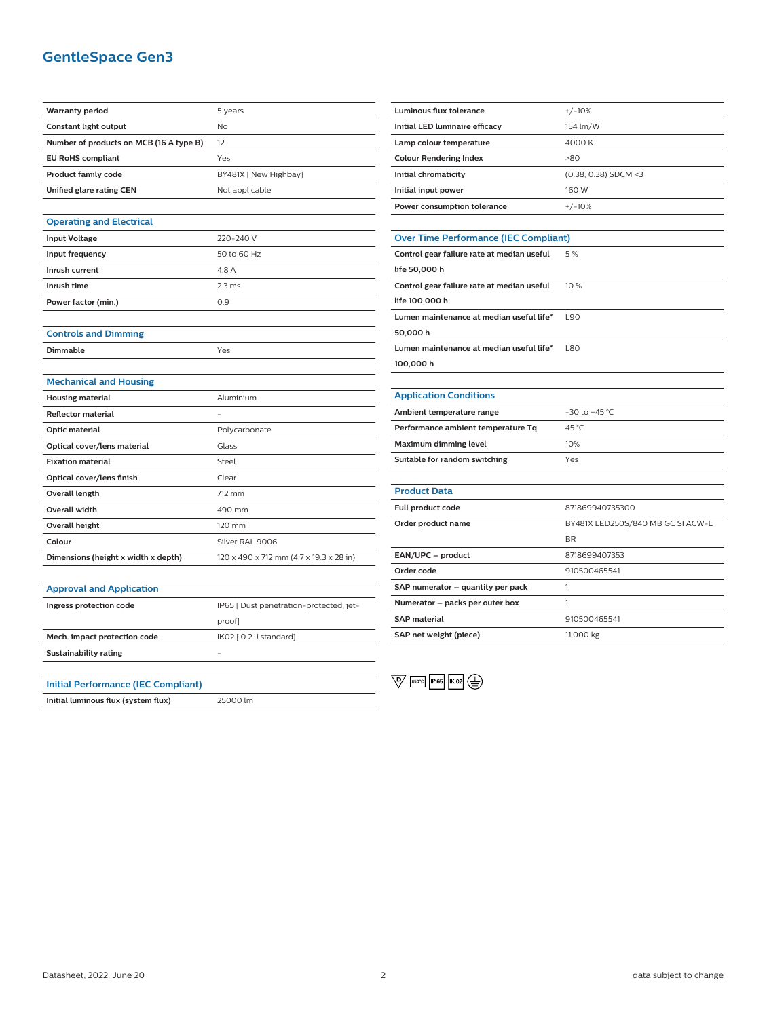# **GentleSpace Gen3**

| <b>Warranty period</b>                     | 5 years                                 |
|--------------------------------------------|-----------------------------------------|
| <b>Constant light output</b>               | No                                      |
| Number of products on MCB (16 A type B)    | 12                                      |
| <b>EU RoHS compliant</b>                   | Yes                                     |
| <b>Product family code</b>                 | BY481X [ New Highbay]                   |
| Unified glare rating CEN                   | Not applicable                          |
|                                            |                                         |
| <b>Operating and Electrical</b>            |                                         |
| <b>Input Voltage</b>                       | 220-240 V                               |
| Input frequency                            | 50 to 60 Hz                             |
| Inrush current                             | 4.8 A                                   |
| Inrush time                                | 2.3 <sub>ms</sub>                       |
| Power factor (min.)                        | 0.9                                     |
|                                            |                                         |
| <b>Controls and Dimming</b>                |                                         |
| Dimmable                                   | Yes                                     |
|                                            |                                         |
| <b>Mechanical and Housing</b>              |                                         |
| <b>Housing material</b>                    | Aluminium                               |
| <b>Reflector material</b>                  |                                         |
| Optic material                             | Polycarbonate                           |
| Optical cover/lens material                | Glass                                   |
| <b>Fixation material</b>                   | Steel                                   |
| Optical cover/lens finish                  | Clear                                   |
| Overall length                             | 712 mm                                  |
| <b>Overall width</b>                       | 490 mm                                  |
| <b>Overall height</b>                      | 120 mm                                  |
| Colour                                     | Silver RAL 9006                         |
| Dimensions (height x width x depth)        | 120 x 490 x 712 mm (4.7 x 19.3 x 28 in) |
|                                            |                                         |
| <b>Approval and Application</b>            |                                         |
| Ingress protection code                    | IP65 [ Dust penetration-protected, jet- |
|                                            | proof]                                  |
| Mech. impact protection code               | IK02 [0.2 J standard]                   |
| <b>Sustainability rating</b>               |                                         |
|                                            |                                         |
| <b>Initial Performance (IEC Compliant)</b> |                                         |
| Initial luminous flux (system flux)        | 25000 lm                                |

| Luminous flux tolerance                      | $+/-10%$                          |  |
|----------------------------------------------|-----------------------------------|--|
| Initial LED luminaire efficacy               | 154 lm/W                          |  |
| Lamp colour temperature                      | 4000 K                            |  |
| <b>Colour Rendering Index</b>                | >80                               |  |
| Initial chromaticity                         | (0.38, 0.38) SDCM <3              |  |
| Initial input power                          | 160 W                             |  |
| Power consumption tolerance                  | $+/-10%$                          |  |
|                                              |                                   |  |
| <b>Over Time Performance (IEC Compliant)</b> |                                   |  |
| Control gear failure rate at median useful   | 5%                                |  |
| life 50,000 h                                |                                   |  |
| Control gear failure rate at median useful   | 10%                               |  |
| life 100,000 h                               |                                   |  |
| Lumen maintenance at median useful life*     | L90                               |  |
| 50,000h                                      |                                   |  |
| Lumen maintenance at median useful life*     | <b>L80</b>                        |  |
| 100,000 h                                    |                                   |  |
|                                              |                                   |  |
| <b>Application Conditions</b>                |                                   |  |
| Ambient temperature range                    | -30 to +45 °C                     |  |
| Performance ambient temperature Tq           | 45 °C                             |  |
| Maximum dimming level                        | 10%                               |  |
| Suitable for random switching                | Yes                               |  |
|                                              |                                   |  |
| <b>Product Data</b>                          |                                   |  |
| Full product code                            | 871869940735300                   |  |
| Order product name                           | BY481X LED250S/840 MB GC SI ACW-L |  |
|                                              | <b>BR</b>                         |  |
| EAN/UPC - product                            | 8718699407353                     |  |
| Order code                                   | 910500465541                      |  |
| SAP numerator - quantity per pack            | 1                                 |  |
| Numerator - packs per outer box              | 1                                 |  |
| <b>SAP material</b>                          | 910500465541                      |  |
| SAP net weight (piece)                       | 11.000 kg                         |  |

 $\overline{\mathbb{Q}}$   $\overline{\mathbb{R}^{60^{\circ}C}}$   $\overline{\mathbb{R}^{65}}$   $\overline{\mathbb{R}^{02}}$   $\overline{\mathbb{R}^{02}}$